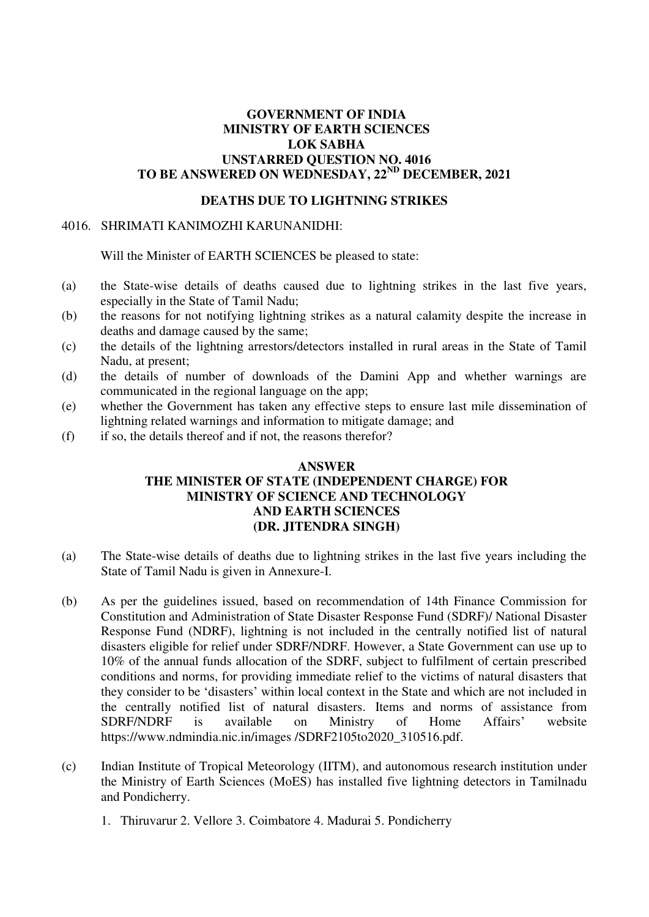### **GOVERNMENT OF INDIA MINISTRY OF EARTH SCIENCES LOK SABHA UNSTARRED QUESTION NO. 4016 TO BE ANSWERED ON WEDNESDAY, 22ND DECEMBER, 2021**

## **DEATHS DUE TO LIGHTNING STRIKES**

#### 4016. SHRIMATI KANIMOZHI KARUNANIDHI:

Will the Minister of EARTH SCIENCES be pleased to state:

- (a) the State-wise details of deaths caused due to lightning strikes in the last five years, especially in the State of Tamil Nadu;
- (b) the reasons for not notifying lightning strikes as a natural calamity despite the increase in deaths and damage caused by the same;
- (c) the details of the lightning arrestors/detectors installed in rural areas in the State of Tamil Nadu, at present;
- (d) the details of number of downloads of the Damini App and whether warnings are communicated in the regional language on the app;
- (e) whether the Government has taken any effective steps to ensure last mile dissemination of lightning related warnings and information to mitigate damage; and
- (f) if so, the details thereof and if not, the reasons therefor?

#### **ANSWER THE MINISTER OF STATE (INDEPENDENT CHARGE) FOR MINISTRY OF SCIENCE AND TECHNOLOGY AND EARTH SCIENCES (DR. JITENDRA SINGH)**

- (a) The State-wise details of deaths due to lightning strikes in the last five years including the State of Tamil Nadu is given in Annexure-I.
- (b) As per the guidelines issued, based on recommendation of 14th Finance Commission for Constitution and Administration of State Disaster Response Fund (SDRF)/ National Disaster Response Fund (NDRF), lightning is not included in the centrally notified list of natural disasters eligible for relief under SDRF/NDRF. However, a State Government can use up to 10% of the annual funds allocation of the SDRF, subject to fulfilment of certain prescribed conditions and norms, for providing immediate relief to the victims of natural disasters that they consider to be 'disasters' within local context in the State and which are not included in the centrally notified list of natural disasters. Items and norms of assistance from SDRF/NDRF is available on Ministry of Home Affairs' website https://www.ndmindia.nic.in/images /SDRF2105to2020\_310516.pdf.
- (c) Indian Institute of Tropical Meteorology (IITM), and autonomous research institution under the Ministry of Earth Sciences (MoES) has installed five lightning detectors in Tamilnadu and Pondicherry.
	- 1. Thiruvarur 2. Vellore 3. Coimbatore 4. Madurai 5. Pondicherry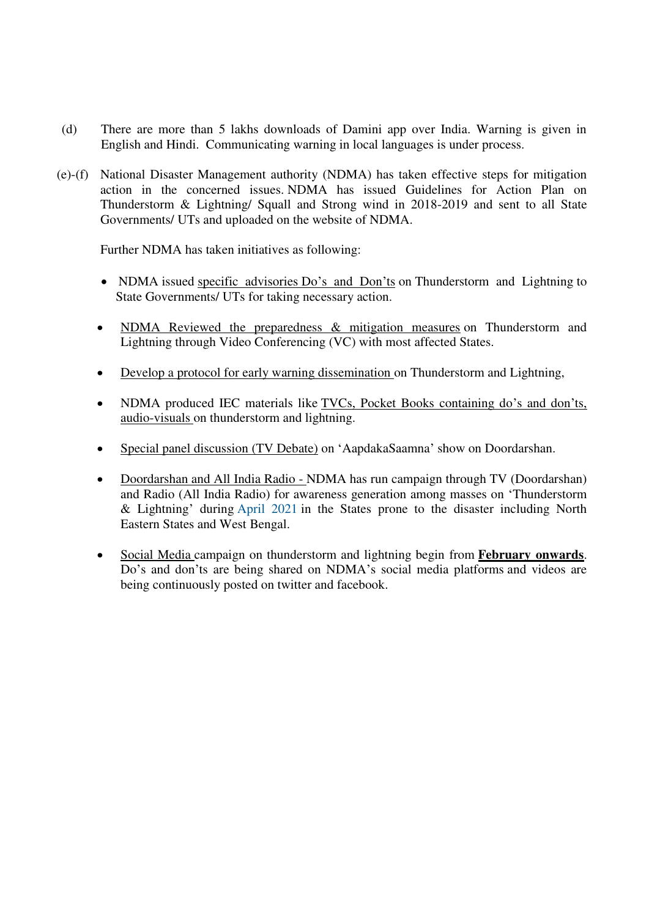- (d) There are more than 5 lakhs downloads of Damini app over India. Warning is given in English and Hindi. Communicating warning in local languages is under process.
- (e)-(f) National Disaster Management authority (NDMA) has taken effective steps for mitigation action in the concerned issues. NDMA has issued Guidelines for Action Plan on Thunderstorm & Lightning/ Squall and Strong wind in 2018-2019 and sent to all State Governments/ UTs and uploaded on the website of NDMA.

Further NDMA has taken initiatives as following:

- NDMA issued specific advisories Do's and Don'ts on Thunderstorm and Lightning to State Governments/ UTs for taking necessary action.
- NDMA Reviewed the preparedness & mitigation measures on Thunderstorm and Lightning through Video Conferencing (VC) with most affected States.
- Develop a protocol for early warning dissemination on Thunderstorm and Lightning,
- NDMA produced IEC materials like TVCs, Pocket Books containing do's and don'ts, audio-visuals on thunderstorm and lightning.
- Special panel discussion (TV Debate) on 'AapdakaSaamna' show on Doordarshan.
- Doordarshan and All India Radio NDMA has run campaign through TV (Doordarshan) and Radio (All India Radio) for awareness generation among masses on 'Thunderstorm & Lightning' during April 2021 in the States prone to the disaster including North Eastern States and West Bengal.
- Social Media campaign on thunderstorm and lightning begin from **February onwards**. Do's and don'ts are being shared on NDMA's social media platforms and videos are being continuously posted on twitter and facebook.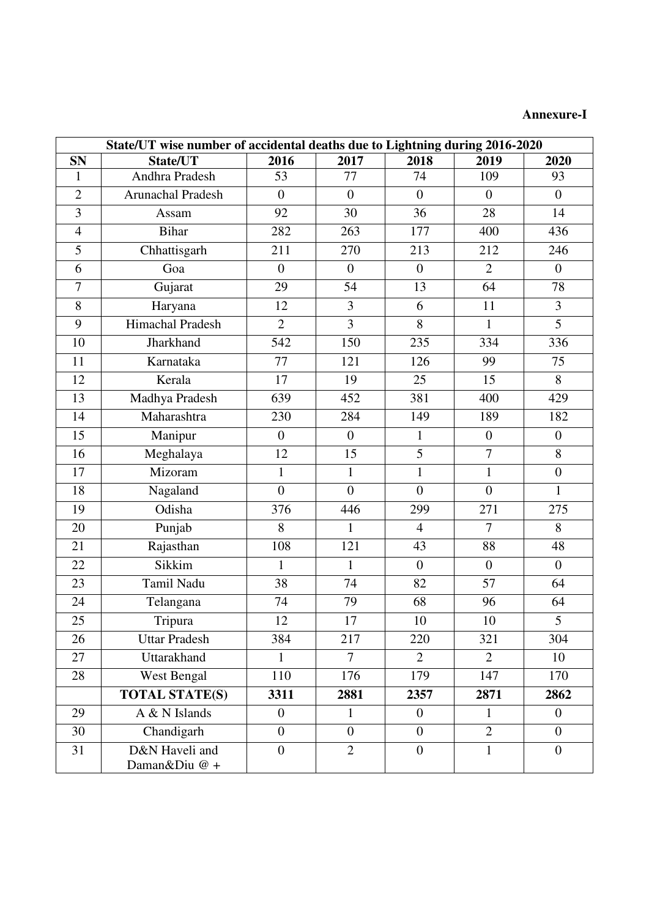# **Annexure-I**

| State/UT wise number of accidental deaths due to Lightning during 2016-2020 |                                 |                  |                  |                  |                  |                  |  |  |  |
|-----------------------------------------------------------------------------|---------------------------------|------------------|------------------|------------------|------------------|------------------|--|--|--|
| <b>SN</b>                                                                   | State/UT                        | 2016             | 2017             | 2018             | 2019             | 2020             |  |  |  |
| $\mathbf{1}$                                                                | Andhra Pradesh                  | 53               | 77               | 74               | 109              | 93               |  |  |  |
| $\overline{2}$                                                              | <b>Arunachal Pradesh</b>        | $\overline{0}$   | $\boldsymbol{0}$ | $\boldsymbol{0}$ | $\boldsymbol{0}$ | $\boldsymbol{0}$ |  |  |  |
| 3                                                                           | Assam                           | 92               | 30               | 36               | 28               | 14               |  |  |  |
| $\overline{4}$                                                              | <b>Bihar</b>                    | 282              | 263              | 177              | 400              | 436              |  |  |  |
| $\overline{5}$                                                              | Chhattisgarh                    | 211              | 270              | 213              | 212              | 246              |  |  |  |
| 6                                                                           | Goa                             | $\overline{0}$   | $\boldsymbol{0}$ | $\boldsymbol{0}$ | $\overline{2}$   | $\boldsymbol{0}$ |  |  |  |
| $\overline{7}$                                                              | Gujarat                         | 29               | 54               | 13               | 64               | 78               |  |  |  |
| 8                                                                           | Haryana                         | 12               | $\overline{3}$   | 6                | 11               | 3                |  |  |  |
| 9                                                                           | Himachal Pradesh                | $\overline{2}$   | $\overline{3}$   | 8                | $\mathbf{1}$     | $\overline{5}$   |  |  |  |
| 10                                                                          | Jharkhand                       | 542              | 150              | 235              | 334              | 336              |  |  |  |
| 11                                                                          | Karnataka                       | 77               | 121              | 126              | 99               | 75               |  |  |  |
| 12                                                                          | Kerala                          | 17               | 19               | 25               | 15               | 8                |  |  |  |
| 13                                                                          | Madhya Pradesh                  | 639              | 452              | 381              | 400              | 429              |  |  |  |
| 14                                                                          | Maharashtra                     | 230              | 284              | 149              | 189              | 182              |  |  |  |
| 15                                                                          | Manipur                         | $\boldsymbol{0}$ | $\boldsymbol{0}$ | $\mathbf{1}$     | $\boldsymbol{0}$ | $\boldsymbol{0}$ |  |  |  |
| 16                                                                          | Meghalaya                       | 12               | 15               | 5                | $\overline{7}$   | 8                |  |  |  |
| 17                                                                          | Mizoram                         | $\mathbf{1}$     | $\mathbf{1}$     | $\mathbf{1}$     | $\mathbf{1}$     | $\boldsymbol{0}$ |  |  |  |
| 18                                                                          | Nagaland                        | $\overline{0}$   | $\overline{0}$   | $\overline{0}$   | $\overline{0}$   | $\mathbf{1}$     |  |  |  |
| 19                                                                          | Odisha                          | 376              | 446              | 299              | 271              | 275              |  |  |  |
| 20                                                                          | Punjab                          | 8                | $\mathbf{1}$     | $\overline{4}$   | 7                | 8                |  |  |  |
| 21                                                                          | Rajasthan                       | 108              | 121              | 43               | 88               | 48               |  |  |  |
| 22                                                                          | Sikkim                          | $\mathbf{1}$     | $\mathbf{1}$     | $\boldsymbol{0}$ | $\overline{0}$   | $\boldsymbol{0}$ |  |  |  |
| 23                                                                          | <b>Tamil Nadu</b>               | 38               | 74               | 82               | 57               | 64               |  |  |  |
| 24                                                                          | Telangana                       | 74               | 79               | 68               | 96               | 64               |  |  |  |
| 25                                                                          | Tripura                         | 12               | $17\,$           | 10               | 10               | 5                |  |  |  |
| 26                                                                          | <b>Uttar Pradesh</b>            | 384              | 217              | 220              | 321              | 304              |  |  |  |
| 27                                                                          | Uttarakhand                     | $\mathbf{1}$     | $\tau$           | $\overline{2}$   | $\overline{2}$   | 10               |  |  |  |
| 28                                                                          | West Bengal                     | 110              | 176              | 179              | 147              | 170              |  |  |  |
|                                                                             | <b>TOTAL STATE(S)</b>           | 3311             | 2881             | 2357             | 2871             | 2862             |  |  |  |
| 29                                                                          | A & N Islands                   | $\overline{0}$   | $\mathbf{1}$     | $\boldsymbol{0}$ | $\mathbf{1}$     | $\overline{0}$   |  |  |  |
| 30                                                                          | Chandigarh                      | $\overline{0}$   | $\overline{0}$   | $\overline{0}$   | $\overline{2}$   | $\mathbf{0}$     |  |  |  |
| 31                                                                          | D&N Haveli and<br>Daman&Diu @ + | $\boldsymbol{0}$ | $\overline{2}$   | $\overline{0}$   | $\mathbf 1$      | $\boldsymbol{0}$ |  |  |  |